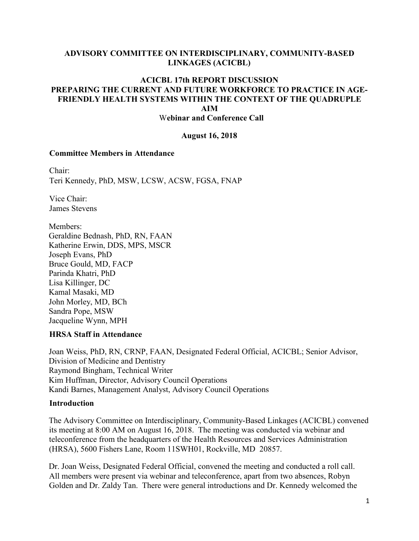### **ADVISORY COMMITTEE ON INTERDISCIPLINARY, COMMUNITY-BASED LINKAGES (ACICBL)**

#### **ACICBL 17th REPORT DISCUSSION PREPARING THE CURRENT AND FUTURE WORKFORCE TO PRACTICE IN AGE-FRIENDLY HEALTH SYSTEMS WITHIN THE CONTEXT OF THE QUADRUPLE AIM**  W**ebinar and Conference Call**

#### **August 16, 2018**

#### **Committee Members in Attendance**

Chair: Teri Kennedy, PhD, MSW, LCSW, ACSW, FGSA, FNAP

Vice Chair: James Stevens

Members: Geraldine Bednash, PhD, RN, FAAN Katherine Erwin, DDS, MPS, MSCR Joseph Evans, PhD Bruce Gould, MD, FACP Parinda Khatri, PhD Lisa Killinger, DC Kamal Masaki, MD John Morley, MD, BCh Sandra Pope, MSW Jacqueline Wynn, MPH

### **HRSA Staff in Attendance**

Joan Weiss, PhD, RN, CRNP, FAAN, Designated Federal Official, ACICBL; Senior Advisor, Division of Medicine and Dentistry Raymond Bingham, Technical Writer Kim Huffman, Director, Advisory Council Operations Kandi Barnes, Management Analyst, Advisory Council Operations

### **Introduction**

The Advisory Committee on Interdisciplinary, Community-Based Linkages (ACICBL) convened its meeting at 8:00 AM on August 16, 2018. The meeting was conducted via webinar and teleconference from the headquarters of the Health Resources and Services Administration (HRSA), 5600 Fishers Lane, Room 11SWH01, Rockville, MD 20857.

Dr. Joan Weiss, Designated Federal Official, convened the meeting and conducted a roll call. All members were present via webinar and teleconference, apart from two absences, Robyn Golden and Dr. Zaldy Tan. There were general introductions and Dr. Kennedy welcomed the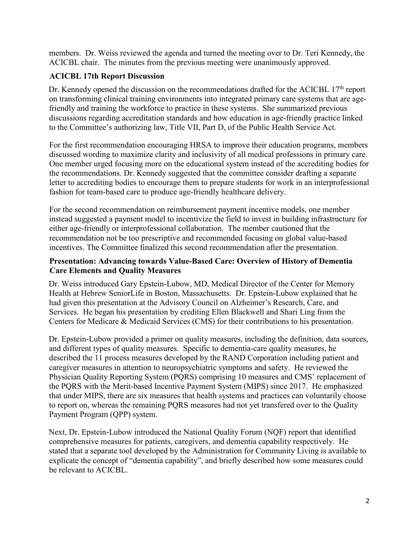members. Dr. Weiss reviewed the agenda and turned the meeting over to Dr. Teri Kennedy, the ACICBL chair. The minutes from the previous meeting were unanimously approved.

# **ACICBL 17th Report Discussion**

Dr. Kennedy opened the discussion on the recommendations drafted for the ACICBL 17<sup>th</sup> report on transforming clinical training environments into integrated primary care systems that are agefriendly and training the workforce to practice in these systems. She summarized previous discussions regarding accreditation standards and how education in age-friendly practice linked to the Committee's authorizing law, Title VII, Part D, of the Public Health Service Act.

For the first recommendation encouraging HRSA to improve their education programs, members discussed wording to maximize clarity and inclusivity of all medical professions in primary care. One member urged focusing more on the educational system instead of the accrediting bodies for the recommendations. Dr. Kennedy suggested that the committee consider drafting a separate letter to accrediting bodies to encourage them to prepare students for work in an interprofessional fashion for team-based care to produce age-friendly healthcare delivery.

For the second recommendation on reimbursement payment incentive models, one member instead suggested a payment model to incentivize the field to invest in building infrastructure for either age-friendly or interprofessional collaboration. The member cautioned that the recommendation not be too prescriptive and recommended focusing on global value-based incentives. The Committee finalized this second recommendation after the presentation.

## **Presentation: Advancing towards Value-Based Care: Overview of History of Dementia Care Elements and Quality Measures**

Dr. Weiss introduced Gary Epstein-Lubow, MD, Medical Director of the Center for Memory Health at Hebrew SeniorLife in Boston, Massachusetts. Dr. Epstein-Lubow explained that he had given this presentation at the Advisory Council on Alzheimer's Research, Care, and Services. He began his presentation by crediting Ellen Blackwell and Shari Ling from the Centers for Medicare & Medicaid Services (CMS) for their contributions to his presentation.

Dr. Epstein-Lubow provided a primer on quality measures, including the definition, data sources, and different types of quality measures. Specific to dementia-care quality measures, he described the 11 process measures developed by the RAND Corporation including patient and caregiver measures in attention to neuropsychiatric symptoms and safety. He reviewed the Physician Quality Reporting System (PQRS) comprising 10 measures and CMS' replacement of the PQRS with the Merit-based Incentive Payment System (MIPS) since 2017. He emphasized that under MIPS, there are six measures that health systems and practices can voluntarily choose to report on, whereas the remaining PQRS measures had not yet transfered over to the Quality Payment Program (QPP) system.

Next, Dr. Epstein-Lubow introduced the National Quality Forum (NQF) report that identified comprehensive measures for patients, caregivers, and dementia capability respectively. He stated that a separate tool developed by the Administration for Community Living is available to explicate the concept of "dementia capability", and briefly described how some measures could be relevant to ACICBL.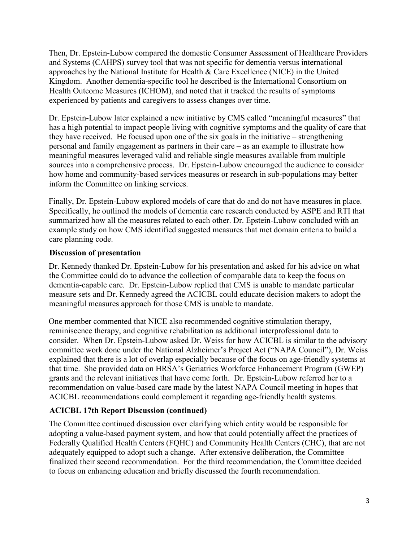Then, Dr. Epstein-Lubow compared the domestic Consumer Assessment of Healthcare Providers and Systems (CAHPS) survey tool that was not specific for dementia versus international approaches by the National Institute for Health & Care Excellence (NICE) in the United Kingdom. Another dementia-specific tool he described is the International Consortium on Health Outcome Measures (ICHOM), and noted that it tracked the results of symptoms experienced by patients and caregivers to assess changes over time.

Dr. Epstein-Lubow later explained a new initiative by CMS called "meaningful measures" that has a high potential to impact people living with cognitive symptoms and the quality of care that they have received. He focused upon one of the six goals in the initiative – strengthening personal and family engagement as partners in their care – as an example to illustrate how meaningful measures leveraged valid and reliable single measures available from multiple sources into a comprehensive process. Dr. Epstein-Lubow encouraged the audience to consider how home and community-based services measures or research in sub-populations may better inform the Committee on linking services.

Finally, Dr. Epstein-Lubow explored models of care that do and do not have measures in place. Specifically, he outlined the models of dementia care research conducted by ASPE and RTI that summarized how all the measures related to each other. Dr. Epstein-Lubow concluded with an example study on how CMS identified suggested measures that met domain criteria to build a care planning code.

## **Discussion of presentation**

Dr. Kennedy thanked Dr. Epstein-Lubow for his presentation and asked for his advice on what the Committee could do to advance the collection of comparable data to keep the focus on dementia-capable care. Dr. Epstein-Lubow replied that CMS is unable to mandate particular measure sets and Dr. Kennedy agreed the ACICBL could educate decision makers to adopt the meaningful measures approach for those CMS is unable to mandate.

One member commented that NICE also recommended cognitive stimulation therapy, reminiscence therapy, and cognitive rehabilitation as additional interprofessional data to consider. When Dr. Epstein-Lubow asked Dr. Weiss for how ACICBL is similar to the advisory committee work done under the National Alzheimer's Project Act ("NAPA Council"), Dr. Weiss explained that there is a lot of overlap especially because of the focus on age-friendly systems at that time. She provided data on HRSA's Geriatrics Workforce Enhancement Program (GWEP) grants and the relevant initiatives that have come forth. Dr. Epstein-Lubow referred her to a recommendation on value-based care made by the latest NAPA Council meeting in hopes that ACICBL recommendations could complement it regarding age-friendly health systems.

# **ACICBL 17th Report Discussion (continued)**

The Committee continued discussion over clarifying which entity would be responsible for adopting a value-based payment system, and how that could potentially affect the practices of Federally Qualified Health Centers (FQHC) and Community Health Centers (CHC), that are not adequately equipped to adopt such a change. After extensive deliberation, the Committee finalized their second recommendation. For the third recommendation, the Committee decided to focus on enhancing education and briefly discussed the fourth recommendation.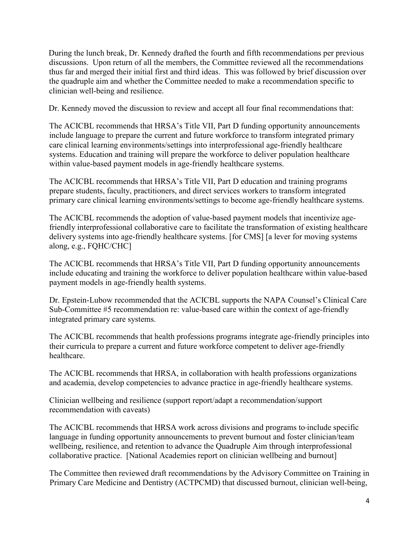During the lunch break, Dr. Kennedy drafted the fourth and fifth recommendations per previous discussions. Upon return of all the members, the Committee reviewed all the recommendations thus far and merged their initial first and third ideas. This was followed by brief discussion over the quadruple aim and whether the Committee needed to make a recommendation specific to clinician well-being and resilience.

Dr. Kennedy moved the discussion to review and accept all four final recommendations that:

The ACICBL recommends that HRSA's Title VII, Part D funding opportunity announcements include language to prepare the current and future workforce to transform integrated primary care clinical learning environments/settings into interprofessional age-friendly healthcare systems. Education and training will prepare the workforce to deliver population healthcare within value-based payment models in age-friendly healthcare systems.

The ACICBL recommends that HRSA's Title VII, Part D education and training programs prepare students, faculty, practitioners, and direct services workers to transform integrated primary care clinical learning environments/settings to become age-friendly healthcare systems.

The ACICBL recommends the adoption of value-based payment models that incentivize agefriendly interprofessional collaborative care to facilitate the transformation of existing healthcare delivery systems into age-friendly healthcare systems. [for CMS] [a lever for moving systems along, e.g., FQHC/CHC]

The ACICBL recommends that HRSA's Title VII, Part D funding opportunity announcements include educating and training the workforce to deliver population healthcare within value-based payment models in age-friendly health systems.

Dr. Epstein-Lubow recommended that the ACICBL supports the NAPA Counsel's Clinical Care Sub-Committee #5 recommendation re: value-based care within the context of age-friendly integrated primary care systems.

The ACICBL recommends that health professions programs integrate age-friendly principles into their curricula to prepare a current and future workforce competent to deliver age-friendly healthcare.

The ACICBL recommends that HRSA, in collaboration with health professions organizations and academia, develop competencies to advance practice in age-friendly healthcare systems.

Clinician wellbeing and resilience (support report/adapt a recommendation/support recommendation with caveats)

The ACICBL recommends that HRSA work across divisions and programs to include specific language in funding opportunity announcements to prevent burnout and foster clinician/team wellbeing, resilience, and retention to advance the Quadruple Aim through interprofessional collaborative practice. [National Academies report on clinician wellbeing and burnout]

The Committee then reviewed draft recommendations by the Advisory Committee on Training in Primary Care Medicine and Dentistry (ACTPCMD) that discussed burnout, clinician well-being,